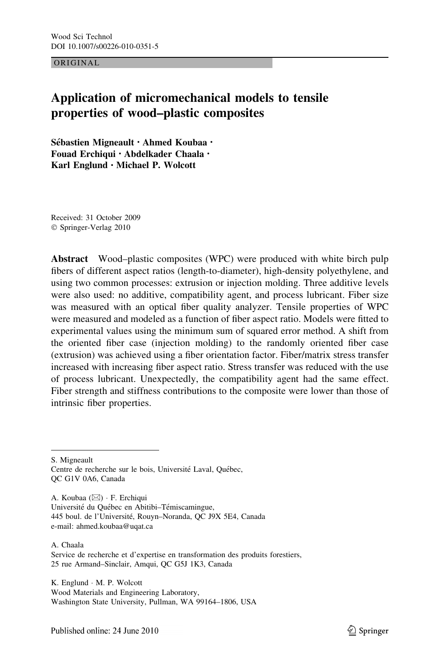ORIGINAL

# Application of micromechanical models to tensile properties of wood–plastic composites

Sébastien Migneault · Ahmed Koubaa · Fouad Erchiqui • Abdelkader Chaala • Karl Englund • Michael P. Wolcott

Received: 31 October 2009 © Springer-Verlag 2010

Abstract Wood–plastic composites (WPC) were produced with white birch pulp fibers of different aspect ratios (length-to-diameter), high-density polyethylene, and using two common processes: extrusion or injection molding. Three additive levels were also used: no additive, compatibility agent, and process lubricant. Fiber size was measured with an optical fiber quality analyzer. Tensile properties of WPC were measured and modeled as a function of fiber aspect ratio. Models were fitted to experimental values using the minimum sum of squared error method. A shift from the oriented fiber case (injection molding) to the randomly oriented fiber case (extrusion) was achieved using a fiber orientation factor. Fiber/matrix stress transfer increased with increasing fiber aspect ratio. Stress transfer was reduced with the use of process lubricant. Unexpectedly, the compatibility agent had the same effect. Fiber strength and stiffness contributions to the composite were lower than those of intrinsic fiber properties.

S. Migneault

A. Koubaa (&) - F. Erchiqui Université du Québec en Abitibi–Témiscamingue, 445 boul. de l'Université, Rouyn-Noranda, QC J9X 5E4, Canada e-mail: ahmed.koubaa@uqat.ca

A. Chaala Service de recherche et d'expertise en transformation des produits forestiers, 25 rue Armand–Sinclair, Amqui, QC G5J 1K3, Canada

K. Englund - M. P. Wolcott Wood Materials and Engineering Laboratory, Washington State University, Pullman, WA 99164–1806, USA

Centre de recherche sur le bois, Université Laval, Québec, QC G1V 0A6, Canada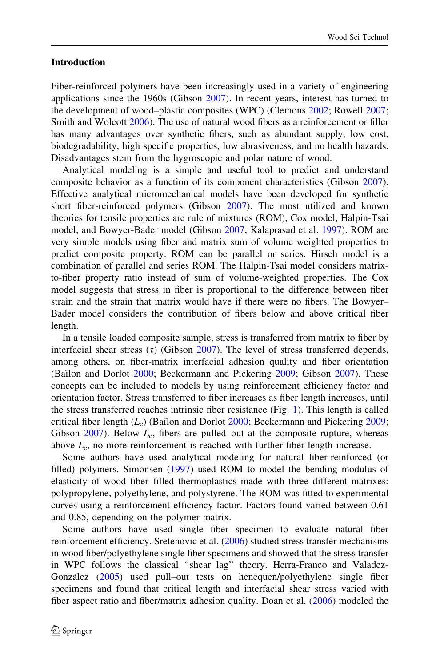# Introduction

Fiber-reinforced polymers have been increasingly used in a variety of engineering applications since the 1960s (Gibson [2007\)](#page-11-0). In recent years, interest has turned to the development of wood–plastic composites (WPC) (Clemons [2002](#page-10-0); Rowell [2007;](#page-11-0) Smith and Wolcott [2006](#page-11-0)). The use of natural wood fibers as a reinforcement or filler has many advantages over synthetic fibers, such as abundant supply, low cost, biodegradability, high specific properties, low abrasiveness, and no health hazards. Disadvantages stem from the hygroscopic and polar nature of wood.

Analytical modeling is a simple and useful tool to predict and understand composite behavior as a function of its component characteristics (Gibson [2007\)](#page-11-0). Effective analytical micromechanical models have been developed for synthetic short fiber-reinforced polymers (Gibson [2007\)](#page-11-0). The most utilized and known theories for tensile properties are rule of mixtures (ROM), Cox model, Halpin-Tsai model, and Bowyer-Bader model (Gibson [2007](#page-11-0); Kalaprasad et al. [1997](#page-11-0)). ROM are very simple models using fiber and matrix sum of volume weighted properties to predict composite property. ROM can be parallel or series. Hirsch model is a combination of parallel and series ROM. The Halpin-Tsai model considers matrixto-fiber property ratio instead of sum of volume-weighted properties. The Cox model suggests that stress in fiber is proportional to the difference between fiber strain and the strain that matrix would have if there were no fibers. The Bowyer– Bader model considers the contribution of fibers below and above critical fiber length.

In a tensile loaded composite sample, stress is transferred from matrix to fiber by interfacial shear stress ( $\tau$ ) (Gibson [2007](#page-11-0)). The level of stress transferred depends, among others, on fiber-matrix interfacial adhesion quality and fiber orientation (Bailon and Dorlot [2000](#page-10-0); Beckermann and Pickering [2009](#page-10-0); Gibson [2007\)](#page-11-0). These concepts can be included to models by using reinforcement efficiency factor and orientation factor. Stress transferred to fiber increases as fiber length increases, until the stress transferred reaches intrinsic fiber resistance (Fig. [1](#page-2-0)). This length is called critical fiber length  $(L_c)$  (Bailon and Dorlot [2000](#page-10-0); Beckermann and Pickering [2009;](#page-10-0) Gibson  $2007$ ). Below  $L_c$ , fibers are pulled–out at the composite rupture, whereas above  $L_c$ , no more reinforcement is reached with further fiber-length increase.

Some authors have used analytical modeling for natural fiber-reinforced (or filled) polymers. Simonsen [\(1997](#page-11-0)) used ROM to model the bending modulus of elasticity of wood fiber–filled thermoplastics made with three different matrixes: polypropylene, polyethylene, and polystyrene. The ROM was fitted to experimental curves using a reinforcement efficiency factor. Factors found varied between 0.61 and 0.85, depending on the polymer matrix.

Some authors have used single fiber specimen to evaluate natural fiber reinforcement efficiency. Sretenovic et al. [\(2006](#page-11-0)) studied stress transfer mechanisms in wood fiber/polyethylene single fiber specimens and showed that the stress transfer in WPC follows the classical ''shear lag'' theory. Herra-Franco and Valadez-González [\(2005](#page-11-0)) used pull–out tests on henequen/polyethylene single fiber specimens and found that critical length and interfacial shear stress varied with fiber aspect ratio and fiber/matrix adhesion quality. Doan et al. [\(2006](#page-10-0)) modeled the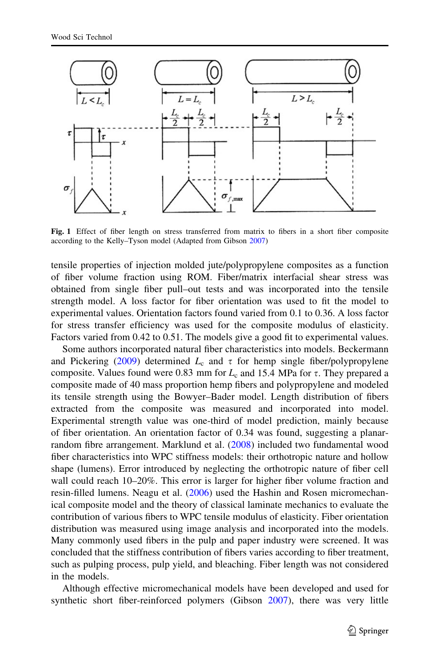<span id="page-2-0"></span>

Fig. 1 Effect of fiber length on stress transferred from matrix to fibers in a short fiber composite according to the Kelly–Tyson model (Adapted from Gibson [2007](#page-11-0))

tensile properties of injection molded jute/polypropylene composites as a function of fiber volume fraction using ROM. Fiber/matrix interfacial shear stress was obtained from single fiber pull–out tests and was incorporated into the tensile strength model. A loss factor for fiber orientation was used to fit the model to experimental values. Orientation factors found varied from 0.1 to 0.36. A loss factor for stress transfer efficiency was used for the composite modulus of elasticity. Factors varied from 0.42 to 0.51. The models give a good fit to experimental values.

Some authors incorporated natural fiber characteristics into models. Beckermann and Pickering ([2009\)](#page-10-0) determined  $L_c$  and  $\tau$  for hemp single fiber/polypropylene composite. Values found were 0.83 mm for  $L_c$  and 15.4 MPa for  $\tau$ . They prepared a composite made of 40 mass proportion hemp fibers and polypropylene and modeled its tensile strength using the Bowyer–Bader model. Length distribution of fibers extracted from the composite was measured and incorporated into model. Experimental strength value was one-third of model prediction, mainly because of fiber orientation. An orientation factor of 0.34 was found, suggesting a planarrandom fibre arrangement. Marklund et al. ([2008\)](#page-11-0) included two fundamental wood fiber characteristics into WPC stiffness models: their orthotropic nature and hollow shape (lumens). Error introduced by neglecting the orthotropic nature of fiber cell wall could reach 10–20%. This error is larger for higher fiber volume fraction and resin-filled lumens. Neagu et al. ([2006\)](#page-11-0) used the Hashin and Rosen micromechanical composite model and the theory of classical laminate mechanics to evaluate the contribution of various fibers to WPC tensile modulus of elasticity. Fiber orientation distribution was measured using image analysis and incorporated into the models. Many commonly used fibers in the pulp and paper industry were screened. It was concluded that the stiffness contribution of fibers varies according to fiber treatment, such as pulping process, pulp yield, and bleaching. Fiber length was not considered in the models.

Although effective micromechanical models have been developed and used for synthetic short fiber-reinforced polymers (Gibson [2007\)](#page-11-0), there was very little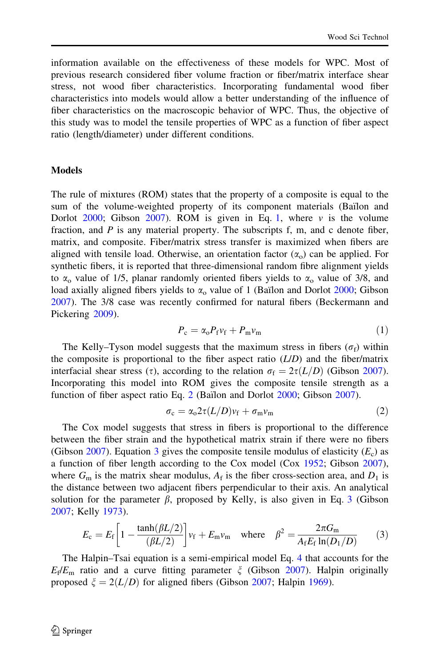<span id="page-3-0"></span>information available on the effectiveness of these models for WPC. Most of previous research considered fiber volume fraction or fiber/matrix interface shear stress, not wood fiber characteristics. Incorporating fundamental wood fiber characteristics into models would allow a better understanding of the influence of fiber characteristics on the macroscopic behavior of WPC. Thus, the objective of this study was to model the tensile properties of WPC as a function of fiber aspect ratio (length/diameter) under different conditions.

## **Models**

The rule of mixtures (ROM) states that the property of a composite is equal to the sum of the volume-weighted property of its component materials (Bailon and Dorlot  $2000$ ; Gibson  $2007$ ). ROM is given in Eq. 1, where v is the volume fraction, and  $P$  is any material property. The subscripts f, m, and c denote fiber, matrix, and composite. Fiber/matrix stress transfer is maximized when fibers are aligned with tensile load. Otherwise, an orientation factor  $(\alpha_0)$  can be applied. For synthetic fibers, it is reported that three-dimensional random fibre alignment yields to  $\alpha_0$  value of 1/5, planar randomly oriented fibers yields to  $\alpha_0$  value of 3/8, and load axially aligned fibers yields to  $\alpha_0$  value of 1 (Bailon and Dorlot [2000;](#page-10-0) Gibson [2007\)](#page-11-0). The 3/8 case was recently confirmed for natural fibers (Beckermann and Pickering [2009](#page-10-0)).

$$
P_{\rm c} = \alpha_{\rm o} P_{\rm f} v_{\rm f} + P_{\rm m} v_{\rm m} \tag{1}
$$

The Kelly–Tyson model suggests that the maximum stress in fibers ( $\sigma_f$ ) within the composite is proportional to the fiber aspect ratio  $(L/D)$  and the fiber/matrix interfacial shear stress ( $\tau$ ), according to the relation  $\sigma_f = 2\tau(L/D)$  (Gibson [2007\)](#page-11-0). Incorporating this model into ROM gives the composite tensile strength as a function of fiber aspect ratio Eq. 2 (Baïlon and Dorlot [2000;](#page-10-0) Gibson [2007](#page-11-0)).

$$
\sigma_{\rm c} = \alpha_{\rm o} 2\tau (L/D) v_{\rm f} + \sigma_{\rm m} v_{\rm m} \tag{2}
$$

The Cox model suggests that stress in fibers is proportional to the difference between the fiber strain and the hypothetical matrix strain if there were no fibers (Gibson [2007\)](#page-11-0). Equation 3 gives the composite tensile modulus of elasticity  $(E_c)$  as a function of fiber length according to the Cox model (Cox [1952](#page-10-0); Gibson [2007\)](#page-11-0), where  $G_m$  is the matrix shear modulus,  $A_f$  is the fiber cross-section area, and  $D_1$  is the distance between two adjacent fibers perpendicular to their axis. An analytical solution for the parameter  $\beta$ , proposed by Kelly, is also given in Eq. 3 (Gibson [2007;](#page-11-0) Kelly [1973\)](#page-11-0).

$$
E_{\rm c} = E_{\rm f} \left[ 1 - \frac{\tanh(\beta L/2)}{(\beta L/2)} \right] v_{\rm f} + E_{\rm m} v_{\rm m} \quad \text{where} \quad \beta^2 = \frac{2\pi G_{\rm m}}{A_{\rm f} E_{\rm f} \ln(D_1/D)} \tag{3}
$$

The Halpin–Tsai equation is a semi-empirical model Eq. 4 that accounts for the  $E_f/E_m$  ratio and a curve fitting parameter  $\xi$  (Gibson [2007](#page-11-0)). Halpin originally proposed  $\xi = 2(L/D)$  for aligned fibers (Gibson [2007;](#page-11-0) Halpin [1969](#page-11-0)).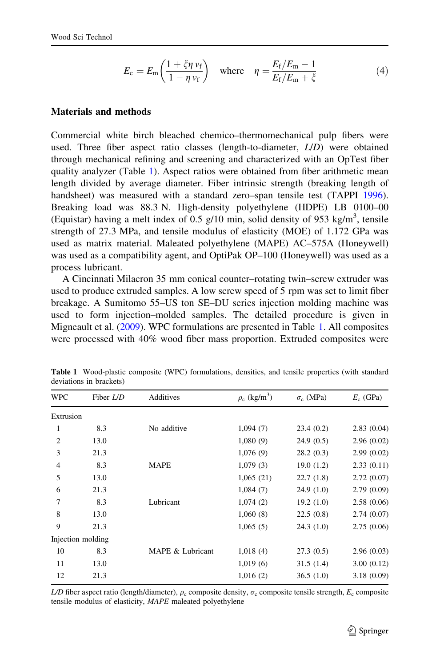$$
E_{\rm c} = E_{\rm m} \left( \frac{1 + \xi \eta \, v_{\rm f}}{1 - \eta \, v_{\rm f}} \right) \quad \text{where} \quad \eta = \frac{E_{\rm f}/E_{\rm m} - 1}{E_{\rm f}/E_{\rm m} + \xi} \tag{4}
$$

# <span id="page-4-0"></span>Materials and methods

Commercial white birch bleached chemico–thermomechanical pulp fibers were used. Three fiber aspect ratio classes (length-to-diameter, L/D) were obtained through mechanical refining and screening and characterized with an OpTest fiber quality analyzer (Table 1). Aspect ratios were obtained from fiber arithmetic mean length divided by average diameter. Fiber intrinsic strength (breaking length of handsheet) was measured with a standard zero–span tensile test (TAPPI [1996\)](#page-11-0). Breaking load was 88.3 N. High-density polyethylene (HDPE) LB 0100–00 (Equistar) having a melt index of 0.5 g/10 min, solid density of 953 kg/m<sup>3</sup>, tensile strength of 27.3 MPa, and tensile modulus of elasticity (MOE) of 1.172 GPa was used as matrix material. Maleated polyethylene (MAPE) AC–575A (Honeywell) was used as a compatibility agent, and OptiPak OP–100 (Honeywell) was used as a process lubricant.

A Cincinnati Milacron 35 mm conical counter–rotating twin–screw extruder was used to produce extruded samples. A low screw speed of 5 rpm was set to limit fiber breakage. A Sumitomo 55–US ton SE–DU series injection molding machine was used to form injection–molded samples. The detailed procedure is given in Migneault et al. ([2009\)](#page-11-0). WPC formulations are presented in Table 1. All composites were processed with 40% wood fiber mass proportion. Extruded composites were

| <b>WPC</b>     | Fiber L/D         | Additives        | $\rho_c$ (kg/m <sup>3</sup> ) | $\sigma_c$ (MPa) | $E_c$ (GPa) |  |  |  |
|----------------|-------------------|------------------|-------------------------------|------------------|-------------|--|--|--|
| Extrusion      |                   |                  |                               |                  |             |  |  |  |
| 1              | 8.3               | No additive      | 1,094(7)                      | 23.4(0.2)        | 2.83(0.04)  |  |  |  |
| $\overline{2}$ | 13.0              |                  | 1,080(9)                      | 24.9(0.5)        | 2.96(0.02)  |  |  |  |
| 3              | 21.3              |                  | 1,076(9)                      | 28.2(0.3)        | 2.99(0.02)  |  |  |  |
| $\overline{4}$ | 8.3               | <b>MAPE</b>      | 1,079(3)                      | 19.0(1.2)        | 2.33(0.11)  |  |  |  |
| 5              | 13.0              |                  | 1,065(21)                     | 22.7(1.8)        | 2.72(0.07)  |  |  |  |
| 6              | 21.3              |                  | 1,084(7)                      | 24.9(1.0)        | 2.79(0.09)  |  |  |  |
| 7              | 8.3               | Lubricant        | 1,074(2)                      | 19.2(1.0)        | 2.58(0.06)  |  |  |  |
| 8              | 13.0              |                  | 1,060(8)                      | 22.5(0.8)        | 2.74(0.07)  |  |  |  |
| 9              | 21.3              |                  | 1,065(5)                      | 24.3(1.0)        | 2.75(0.06)  |  |  |  |
|                | Injection molding |                  |                               |                  |             |  |  |  |
| 10             | 8.3               | MAPE & Lubricant | 1,018(4)                      | 27.3(0.5)        | 2.96(0.03)  |  |  |  |
| 11             | 13.0              |                  | 1,019(6)                      | 31.5(1.4)        | 3.00(0.12)  |  |  |  |
| 12             | 21.3              |                  | 1,016(2)                      | 36.5(1.0)        | 3.18(0.09)  |  |  |  |
|                |                   |                  |                               |                  |             |  |  |  |

Table 1 Wood-plastic composite (WPC) formulations, densities, and tensile properties (with standard deviations in brackets)

L/D fiber aspect ratio (length/diameter),  $\rho_c$  composite density,  $\sigma_c$  composite tensile strength,  $E_c$  composite tensile modulus of elasticity, MAPE maleated polyethylene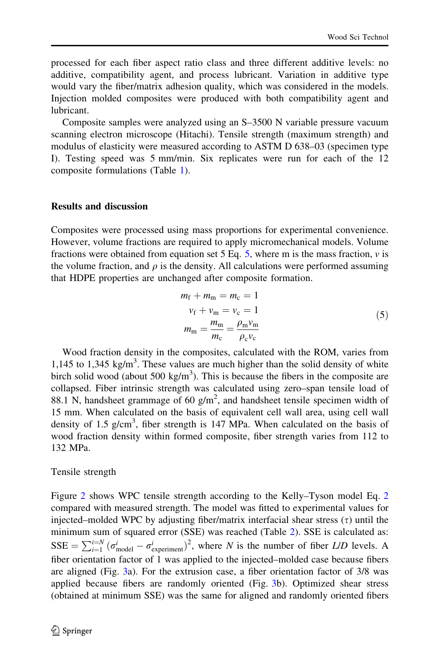processed for each fiber aspect ratio class and three different additive levels: no additive, compatibility agent, and process lubricant. Variation in additive type would vary the fiber/matrix adhesion quality, which was considered in the models. Injection molded composites were produced with both compatibility agent and lubricant.

Composite samples were analyzed using an S–3500 N variable pressure vacuum scanning electron microscope (Hitachi). Tensile strength (maximum strength) and modulus of elasticity were measured according to ASTM D 638–03 (specimen type I). Testing speed was 5 mm/min. Six replicates were run for each of the 12 composite formulations (Table [1](#page-4-0)).

## Results and discussion

Composites were processed using mass proportions for experimental convenience. However, volume fractions are required to apply micromechanical models. Volume fractions were obtained from equation set 5 Eq. 5, where m is the mass fraction,  $\nu$  is the volume fraction, and  $\rho$  is the density. All calculations were performed assuming that HDPE properties are unchanged after composite formation.

$$
m_{\rm f} + m_{\rm m} = m_{\rm c} = 1
$$
  
\n
$$
v_{\rm f} + v_{\rm m} = v_{\rm c} = 1
$$
  
\n
$$
m_{\rm m} = \frac{m_{\rm m}}{m_{\rm c}} = \frac{\rho_{\rm m} v_{\rm m}}{\rho_{\rm c} v_{\rm c}}
$$
\n(5)

Wood fraction density in the composites, calculated with the ROM, varies from 1,145 to 1,345 kg/m<sup>3</sup>. These values are much higher than the solid density of white birch solid wood (about 500 kg/m<sup>3</sup>). This is because the fibers in the composite are collapsed. Fiber intrinsic strength was calculated using zero–span tensile load of 88.1 N, handsheet grammage of 60  $g/m^2$ , and handsheet tensile specimen width of 15 mm. When calculated on the basis of equivalent cell wall area, using cell wall density of 1.5  $g/cm<sup>3</sup>$ , fiber strength is 147 MPa. When calculated on the basis of wood fraction density within formed composite, fiber strength varies from 112 to 132 MPa.

### Tensile strength

Figure [2](#page-6-0) shows WPC tensile strength according to the Kelly–Tyson model Eq. [2](#page-3-0) compared with measured strength. The model was fitted to experimental values for injected–molded WPC by adjusting fiber/matrix interfacial shear stress  $(\tau)$  until the minimum sum of squared error (SSE) was reached (Table [2\)](#page-7-0). SSE is calculated as:  $SSE = \sum_{i=1}^{i=N} (\sigma_{\text{model}}^i - \sigma_{\text{experiment}}^i)^2$ , where N is the number of fiber L/D levels. A fiber orientation factor of 1 was applied to the injected–molded case because fibers are aligned (Fig. [3a](#page-7-0)). For the extrusion case, a fiber orientation factor of 3/8 was applied because fibers are randomly oriented (Fig. [3](#page-7-0)b). Optimized shear stress (obtained at minimum SSE) was the same for aligned and randomly oriented fibers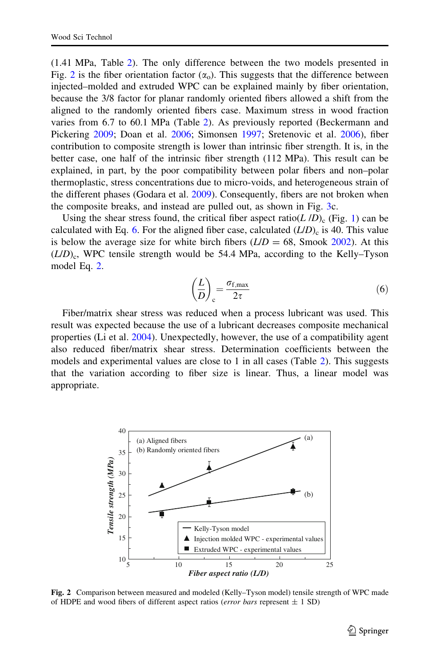<span id="page-6-0"></span>(1.41 MPa, Table [2](#page-7-0)). The only difference between the two models presented in Fig. 2 is the fiber orientation factor  $(\alpha_0)$ . This suggests that the difference between injected–molded and extruded WPC can be explained mainly by fiber orientation, because the 3/8 factor for planar randomly oriented fibers allowed a shift from the aligned to the randomly oriented fibers case. Maximum stress in wood fraction varies from 6.7 to 60.1 MPa (Table [2](#page-7-0)). As previously reported (Beckermann and Pickering [2009](#page-10-0); Doan et al. [2006](#page-10-0); Simonsen [1997](#page-11-0); Sretenovic et al. [2006](#page-11-0)), fiber contribution to composite strength is lower than intrinsic fiber strength. It is, in the better case, one half of the intrinsic fiber strength (112 MPa). This result can be explained, in part, by the poor compatibility between polar fibers and non–polar thermoplastic, stress concentrations due to micro-voids, and heterogeneous strain of the different phases (Godara et al. [2009](#page-11-0)). Consequently, fibers are not broken when the composite breaks, and instead are pulled out, as shown in Fig. [3](#page-7-0)c.

Using the shear stress found, the critical fiber aspect ratio( $L/D$ )<sub>c</sub> (Fig. [1\)](#page-2-0) can be calculated with Eq. 6. For the aligned fiber case, calculated  $(L/D)_{c}$  is 40. This value is below the average size for white birch fibers  $(L/D = 68$ , Smook [2002\)](#page-11-0). At this  $(L/D)_c$ , WPC tensile strength would be 54.4 MPa, according to the Kelly–Tyson model Eq. [2](#page-3-0).

$$
\left(\frac{L}{D}\right)_{c} = \frac{\sigma_{f,\text{max}}}{2\tau} \tag{6}
$$

Fiber/matrix shear stress was reduced when a process lubricant was used. This result was expected because the use of a lubricant decreases composite mechanical properties (Li et al. [2004](#page-11-0)). Unexpectedly, however, the use of a compatibility agent also reduced fiber/matrix shear stress. Determination coefficients between the models and experimental values are close to 1 in all cases (Table [2\)](#page-7-0). This suggests that the variation according to fiber size is linear. Thus, a linear model was appropriate.



Fig. 2 Comparison between measured and modeled (Kelly–Tyson model) tensile strength of WPC made of HDPE and wood fibers of different aspect ratios (error bars represent  $\pm$  1 SD)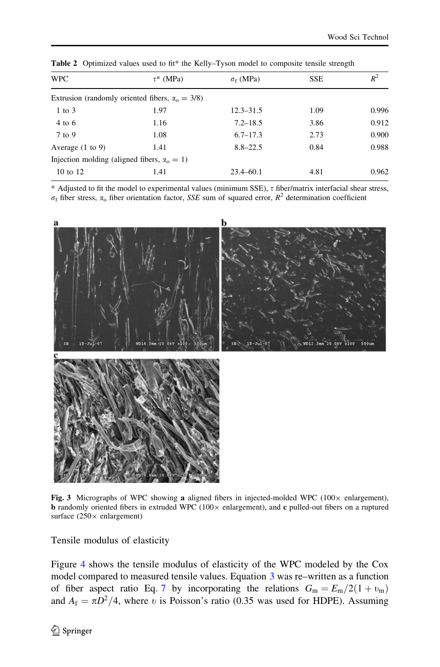| <b>WPC</b><br>$\tau^*$ (MPa)                            |      | $\sigma_f$ (MPa) | <b>SSE</b> | $R^2$ |
|---------------------------------------------------------|------|------------------|------------|-------|
| Extrusion (randomly oriented fibers, $\alpha_0 = 3/8$ ) |      |                  |            |       |
| $1$ to $3$                                              | 1.97 | $12.3 - 31.5$    | 1.09       | 0.996 |
| 4 to 6                                                  | 1.16 | $7.2 - 18.5$     | 3.86       | 0.912 |
| 7 to 9                                                  | 1.08 | $6.7 - 17.3$     | 2.73       | 0.900 |
| Average $(1 \text{ to } 9)$                             | 1.41 | $8.8 - 22.5$     | 0.84       | 0.988 |
| Injection molding (aligned fibers, $\alpha_0 = 1$ )     |      |                  |            |       |
| 10 to 12                                                | 1.41 | $23.4 - 60.1$    | 4.81       | 0.962 |

<span id="page-7-0"></span>Table 2 Optimized values used to fit\* the Kelly–Tyson model to composite tensile strength

 $*$  Adjusted to fit the model to experimental values (minimum SSE),  $\tau$  fiber/matrix interfacial shear stress,  $\sigma_f$  fiber stress,  $\alpha_o$  fiber orientation factor, SSE sum of squared error,  $R^2$  determination coefficient



Fig. 3 Micrographs of WPC showing a aligned fibers in injected-molded WPC (100 $\times$  enlargement), **b** randomly oriented fibers in extruded WPC (100 $\times$  enlargement), and c pulled-out fibers on a ruptured surface  $(250 \times$  enlargement)

Tensile modulus of elasticity

Figure [4](#page-8-0) shows the tensile modulus of elasticity of the WPC modeled by the Cox model compared to measured tensile values. Equation [3](#page-3-0) was re–written as a function of fiber aspect ratio Eq. [7](#page-8-0) by incorporating the relations  $G_m = E_m/2(1 + v_m)$ and  $A_f = \pi D^2/4$ , where v is Poisson's ratio (0.35 was used for HDPE). Assuming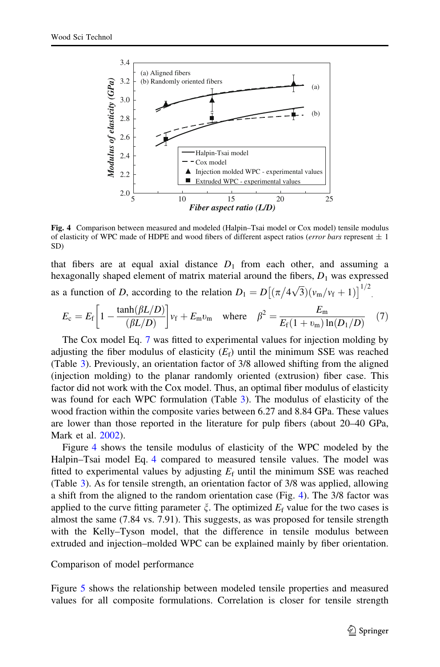<span id="page-8-0"></span>

Fig. 4 Comparison between measured and modeled (Halpin–Tsai model or Cox model) tensile modulus of elasticity of WPC made of HDPE and wood fibers of different aspect ratios (*error bars* represent  $\pm 1$ SD)

that fibers are at equal axial distance  $D_1$  from each other, and assuming a hexagonally shaped element of matrix material around the fibers,  $D_1$  was expressed as a function of D, according to the relation  $D_1 = D[(\pi/4\sqrt{3})(v_m/v_f+1)]^{1/2}]$ .

$$
E_{\rm c} = E_{\rm f} \left[ 1 - \frac{\tanh(\beta L/D)}{(\beta L/D)} \right] v_{\rm f} + E_{\rm m} v_{\rm m} \quad \text{where} \quad \beta^2 = \frac{E_{\rm m}}{E_{\rm f} (1 + v_{\rm m}) \ln(D_1/D)} \quad (7)
$$

The Cox model Eq. 7 was fitted to experimental values for injection molding by adjusting the fiber modulus of elasticity  $(E_f)$  until the minimum SSE was reached (Table [3](#page-9-0)). Previously, an orientation factor of 3/8 allowed shifting from the aligned (injection molding) to the planar randomly oriented (extrusion) fiber case. This factor did not work with the Cox model. Thus, an optimal fiber modulus of elasticity was found for each WPC formulation (Table [3](#page-9-0)). The modulus of elasticity of the wood fraction within the composite varies between 6.27 and 8.84 GPa. These values are lower than those reported in the literature for pulp fibers (about 20–40 GPa, Mark et al. [2002\)](#page-11-0).

Figure 4 shows the tensile modulus of elasticity of the WPC modeled by the Halpin–Tsai model Eq. [4](#page-3-0) compared to measured tensile values. The model was fitted to experimental values by adjusting  $E_f$  until the minimum SSE was reached (Table [3](#page-9-0)). As for tensile strength, an orientation factor of 3/8 was applied, allowing a shift from the aligned to the random orientation case (Fig. 4). The 3/8 factor was applied to the curve fitting parameter  $\zeta$ . The optimized  $E_f$  value for the two cases is almost the same (7.84 vs. 7.91). This suggests, as was proposed for tensile strength with the Kelly–Tyson model, that the difference in tensile modulus between extruded and injection–molded WPC can be explained mainly by fiber orientation.

#### Comparison of model performance

Figure [5](#page-9-0) shows the relationship between modeled tensile properties and measured values for all composite formulations. Correlation is closer for tensile strength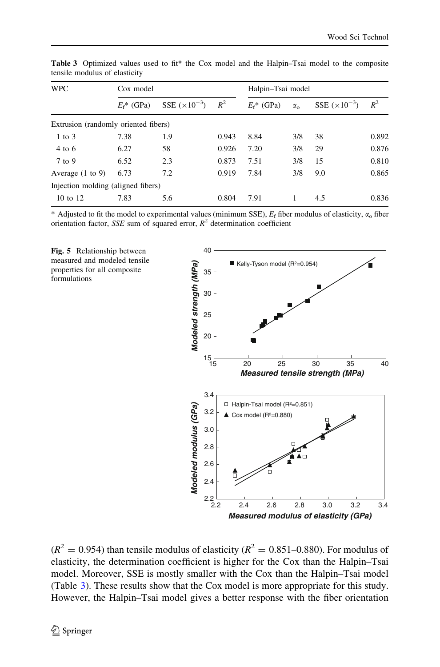| <b>WPC</b>                           | Cox model     |                  |       | Halpin-Tsai model |                  |                        |       |
|--------------------------------------|---------------|------------------|-------|-------------------|------------------|------------------------|-------|
|                                      | $E_f^*$ (GPa) | SSE $(x10^{-3})$ | $R^2$ | $E_f^*$ (GPa)     | $\alpha_{\rm o}$ | SSE $(\times 10^{-3})$ | $R^2$ |
| Extrusion (randomly oriented fibers) |               |                  |       |                   |                  |                        |       |
| $1$ to $3$                           | 7.38          | 1.9              | 0.943 | 8.84              | 3/8              | 38                     | 0.892 |
| 4 to 6                               | 6.27          | 58               | 0.926 | 7.20              | 3/8              | 29                     | 0.876 |
| 7 to 9                               | 6.52          | 2.3              | 0.873 | 7.51              | 3/8              | 15                     | 0.810 |
| Average $(1 \text{ to } 9)$          | 6.73          | 7.2              | 0.919 | 7.84              | 3/8              | 9.0                    | 0.865 |
| Injection molding (aligned fibers)   |               |                  |       |                   |                  |                        |       |
| 10 to 12                             | 7.83          | 5.6              | 0.804 | 7.91              |                  | 4.5                    | 0.836 |

<span id="page-9-0"></span>Table 3 Optimized values used to fit\* the Cox model and the Halpin–Tsai model to the composite tensile modulus of elasticity

\* Adjusted to fit the model to experimental values (minimum SSE),  $E_f$  fiber modulus of elasticity,  $\alpha_0$  fiber orientation factor, SSE sum of squared error,  $R^2$  determination coefficient

Fig. 5 Relationship between measured and modeled tensile properties for all composite formulations



 $(R^2 = 0.954)$  than tensile modulus of elasticity  $(R^2 = 0.851 - 0.880)$ . For modulus of elasticity, the determination coefficient is higher for the Cox than the Halpin–Tsai model. Moreover, SSE is mostly smaller with the Cox than the Halpin–Tsai model (Table 3). These results show that the Cox model is more appropriate for this study. However, the Halpin–Tsai model gives a better response with the fiber orientation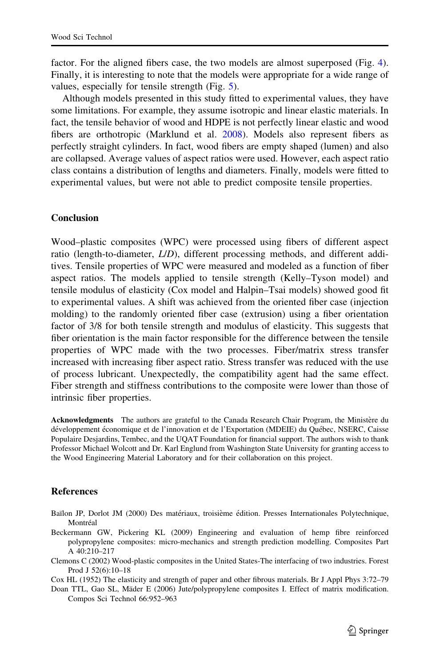<span id="page-10-0"></span>factor. For the aligned fibers case, the two models are almost superposed (Fig. [4\)](#page-8-0). Finally, it is interesting to note that the models were appropriate for a wide range of values, especially for tensile strength (Fig. [5](#page-9-0)).

Although models presented in this study fitted to experimental values, they have some limitations. For example, they assume isotropic and linear elastic materials. In fact, the tensile behavior of wood and HDPE is not perfectly linear elastic and wood fibers are orthotropic (Marklund et al. [2008](#page-11-0)). Models also represent fibers as perfectly straight cylinders. In fact, wood fibers are empty shaped (lumen) and also are collapsed. Average values of aspect ratios were used. However, each aspect ratio class contains a distribution of lengths and diameters. Finally, models were fitted to experimental values, but were not able to predict composite tensile properties.

# Conclusion

Wood–plastic composites (WPC) were processed using fibers of different aspect ratio (length-to-diameter, L/D), different processing methods, and different additives. Tensile properties of WPC were measured and modeled as a function of fiber aspect ratios. The models applied to tensile strength (Kelly–Tyson model) and tensile modulus of elasticity (Cox model and Halpin–Tsai models) showed good fit to experimental values. A shift was achieved from the oriented fiber case (injection molding) to the randomly oriented fiber case (extrusion) using a fiber orientation factor of 3/8 for both tensile strength and modulus of elasticity. This suggests that fiber orientation is the main factor responsible for the difference between the tensile properties of WPC made with the two processes. Fiber/matrix stress transfer increased with increasing fiber aspect ratio. Stress transfer was reduced with the use of process lubricant. Unexpectedly, the compatibility agent had the same effect. Fiber strength and stiffness contributions to the composite were lower than those of intrinsic fiber properties.

Acknowledgments The authors are grateful to the Canada Research Chair Program, the Ministère du développement économique et de l'innovation et de l'Exportation (MDEIE) du Québec, NSERC, Caisse Populaire Desjardins, Tembec, and the UQAT Foundation for financial support. The authors wish to thank Professor Michael Wolcott and Dr. Karl Englund from Washington State University for granting access to the Wood Engineering Material Laboratory and for their collaboration on this project.

#### **References**

- Baïlon JP, Dorlot JM (2000) Des matériaux, troisième édition. Presses Internationales Polytechnique, Montréal
- Beckermann GW, Pickering KL (2009) Engineering and evaluation of hemp fibre reinforced polypropylene composites: micro-mechanics and strength prediction modelling. Composites Part A 40:210–217
- Clemons C (2002) Wood-plastic composites in the United States-The interfacing of two industries. Forest Prod J 52(6):10–18

Cox HL (1952) The elasticity and strength of paper and other fibrous materials. Br J Appl Phys 3:72–79

Doan TTL, Gao SL, Mäder E (2006) Jute/polypropylene composites I. Effect of matrix modification. Compos Sci Technol 66:952–963